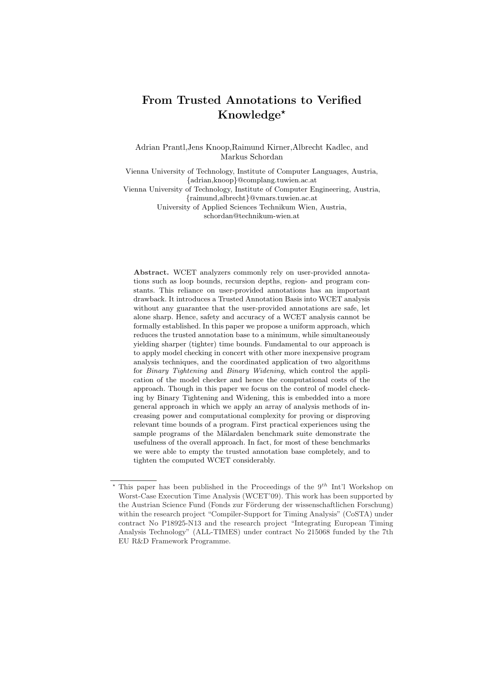# From Trusted Annotations to Verified Knowledge?

Adrian Prantl,Jens Knoop,Raimund Kirner,Albrecht Kadlec, and Markus Schordan

Vienna University of Technology, Institute of Computer Languages, Austria, {adrian,knoop}@complang.tuwien.ac.at

Vienna University of Technology, Institute of Computer Engineering, Austria, {raimund,albrecht}@vmars.tuwien.ac.at

University of Applied Sciences Technikum Wien, Austria, schordan@technikum-wien.at

Abstract. WCET analyzers commonly rely on user-provided annotations such as loop bounds, recursion depths, region- and program constants. This reliance on user-provided annotations has an important drawback. It introduces a Trusted Annotation Basis into WCET analysis without any guarantee that the user-provided annotations are safe, let alone sharp. Hence, safety and accuracy of a WCET analysis cannot be formally established. In this paper we propose a uniform approach, which reduces the trusted annotation base to a minimum, while simultaneously yielding sharper (tighter) time bounds. Fundamental to our approach is to apply model checking in concert with other more inexpensive program analysis techniques, and the coordinated application of two algorithms for Binary Tightening and Binary Widening, which control the application of the model checker and hence the computational costs of the approach. Though in this paper we focus on the control of model checking by Binary Tightening and Widening, this is embedded into a more general approach in which we apply an array of analysis methods of increasing power and computational complexity for proving or disproving relevant time bounds of a program. First practical experiences using the sample programs of the Mälardalen benchmark suite demonstrate the usefulness of the overall approach. In fact, for most of these benchmarks we were able to empty the trusted annotation base completely, and to tighten the computed WCET considerably.

<sup>\*</sup> This paper has been published in the Proceedings of the  $9<sup>th</sup>$  Int'l Workshop on Worst-Case Execution Time Analysis (WCET'09). This work has been supported by the Austrian Science Fund (Fonds zur Förderung der wissenschaftlichen Forschung) within the research project "Compiler-Support for Timing Analysis" (CoSTA) under contract No P18925-N13 and the research project "Integrating European Timing Analysis Technology" (ALL-TIMES) under contract No 215068 funded by the 7th EU R&D Framework Programme.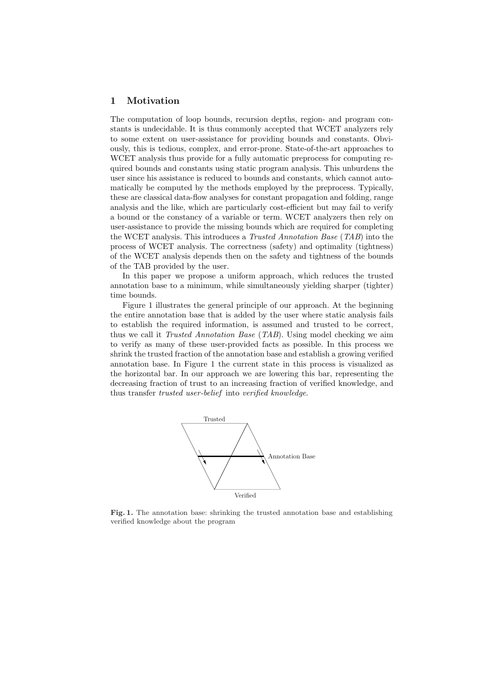#### 1 Motivation

The computation of loop bounds, recursion depths, region- and program constants is undecidable. It is thus commonly accepted that WCET analyzers rely to some extent on user-assistance for providing bounds and constants. Obviously, this is tedious, complex, and error-prone. State-of-the-art approaches to WCET analysis thus provide for a fully automatic preprocess for computing required bounds and constants using static program analysis. This unburdens the user since his assistance is reduced to bounds and constants, which cannot automatically be computed by the methods employed by the preprocess. Typically, these are classical data-flow analyses for constant propagation and folding, range analysis and the like, which are particularly cost-efficient but may fail to verify a bound or the constancy of a variable or term. WCET analyzers then rely on user-assistance to provide the missing bounds which are required for completing the WCET analysis. This introduces a Trusted Annotation Base (TAB) into the process of WCET analysis. The correctness (safety) and optimality (tightness) of the WCET analysis depends then on the safety and tightness of the bounds of the TAB provided by the user.

In this paper we propose a uniform approach, which reduces the trusted annotation base to a minimum, while simultaneously yielding sharper (tighter) time bounds.

Figure 1 illustrates the general principle of our approach. At the beginning the entire annotation base that is added by the user where static analysis fails to establish the required information, is assumed and trusted to be correct, thus we call it Trusted Annotation Base (TAB). Using model checking we aim to verify as many of these user-provided facts as possible. In this process we shrink the trusted fraction of the annotation base and establish a growing verified annotation base. In Figure 1 the current state in this process is visualized as the horizontal bar. In our approach we are lowering this bar, representing the decreasing fraction of trust to an increasing fraction of verified knowledge, and thus transfer trusted user-belief into verified knowledge.



Fig. 1. The annotation base: shrinking the trusted annotation base and establishing verified knowledge about the program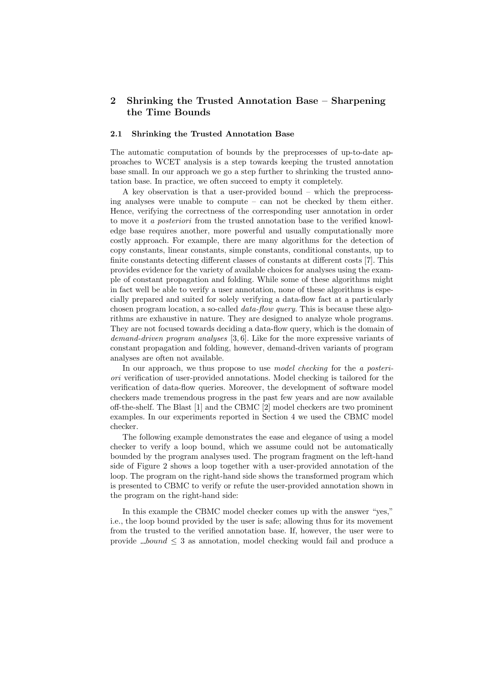## 2 Shrinking the Trusted Annotation Base – Sharpening the Time Bounds

#### 2.1 Shrinking the Trusted Annotation Base

The automatic computation of bounds by the preprocesses of up-to-date approaches to WCET analysis is a step towards keeping the trusted annotation base small. In our approach we go a step further to shrinking the trusted annotation base. In practice, we often succeed to empty it completely.

A key observation is that a user-provided bound – which the preprocessing analyses were unable to compute – can not be checked by them either. Hence, verifying the correctness of the corresponding user annotation in order to move it a posteriori from the trusted annotation base to the verified knowledge base requires another, more powerful and usually computationally more costly approach. For example, there are many algorithms for the detection of copy constants, linear constants, simple constants, conditional constants, up to finite constants detecting different classes of constants at different costs [7]. This provides evidence for the variety of available choices for analyses using the example of constant propagation and folding. While some of these algorithms might in fact well be able to verify a user annotation, none of these algorithms is especially prepared and suited for solely verifying a data-flow fact at a particularly chosen program location, a so-called *data-flow query*. This is because these algorithms are exhaustive in nature. They are designed to analyze whole programs. They are not focused towards deciding a data-flow query, which is the domain of demand-driven program analyses [3, 6]. Like for the more expressive variants of constant propagation and folding, however, demand-driven variants of program analyses are often not available.

In our approach, we thus propose to use *model checking* for the *a posteri*ori verification of user-provided annotations. Model checking is tailored for the verification of data-flow queries. Moreover, the development of software model checkers made tremendous progress in the past few years and are now available off-the-shelf. The Blast [1] and the CBMC [2] model checkers are two prominent examples. In our experiments reported in Section 4 we used the CBMC model checker.

The following example demonstrates the ease and elegance of using a model checker to verify a loop bound, which we assume could not be automatically bounded by the program analyses used. The program fragment on the left-hand side of Figure 2 shows a loop together with a user-provided annotation of the loop. The program on the right-hand side shows the transformed program which is presented to CBMC to verify or refute the user-provided annotation shown in the program on the right-hand side:

In this example the CBMC model checker comes up with the answer "yes," i.e., the loop bound provided by the user is safe; allowing thus for its movement from the trusted to the verified annotation base. If, however, the user were to provide  $_{\text{-}bound} \leq 3$  as annotation, model checking would fail and produce a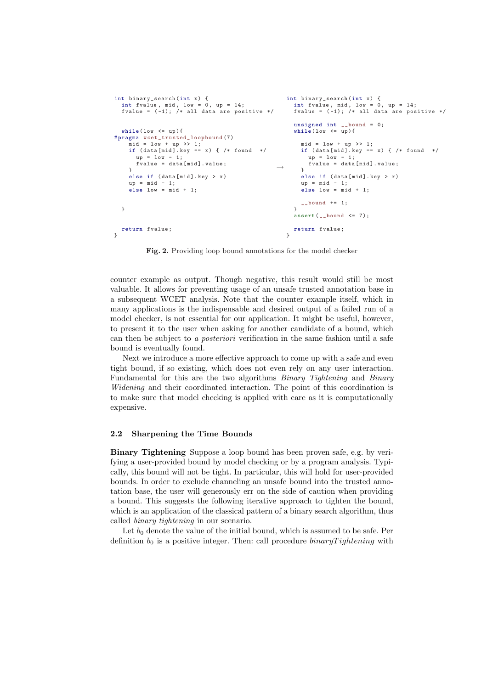```
int binary_search (int x) {<br>int fvalue, mid, low = 0, up = 14;<br>fvalue = (-1); /* all data are positive */
  while (\text{low} \leq w) {
# pragma wcet_trusted_loopbound (7)
     mid = low + up \gg 1;
     if (data[mid].key == x) { /* found *}up = low - 1;fvalue = data [mid]. value:
     \mathbf{r}else if (data[mid].key > x)up = mid - 1;
else low = mid + 1;
  }
  return fvalue ;
}
                                                           \rightarrowint binary_search (int x) {<br>int fvalue, mid, low = 0, up = 14;
                                                                fvalue = (-1); /* all data are positive */
                                                                 unsigned int bound = 0:
                                                                 while (\text{low} \leq \text{up}) {
                                                                    mid = low + up >> 1;if (data[mid].key == x) { /* found *}up = 1ow - 1;fvalue = data [mid]. value;
                                                                    }
                                                                    else if (data[mid].key > x)up = mid - 1;
else low = mid + 1;
                                                                    \Boxbound += 1;
                                                                 }
                                                                 assert (-bound \leq 7);return fvalue ;
                                                               }
```
Fig. 2. Providing loop bound annotations for the model checker

counter example as output. Though negative, this result would still be most valuable. It allows for preventing usage of an unsafe trusted annotation base in a subsequent WCET analysis. Note that the counter example itself, which in many applications is the indispensable and desired output of a failed run of a model checker, is not essential for our application. It might be useful, however, to present it to the user when asking for another candidate of a bound, which can then be subject to a posteriori verification in the same fashion until a safe bound is eventually found.

Next we introduce a more effective approach to come up with a safe and even tight bound, if so existing, which does not even rely on any user interaction. Fundamental for this are the two algorithms Binary Tightening and Binary Widening and their coordinated interaction. The point of this coordination is to make sure that model checking is applied with care as it is computationally expensive.

#### 2.2 Sharpening the Time Bounds

Binary Tightening Suppose a loop bound has been proven safe, e.g. by verifying a user-provided bound by model checking or by a program analysis. Typically, this bound will not be tight. In particular, this will hold for user-provided bounds. In order to exclude channeling an unsafe bound into the trusted annotation base, the user will generously err on the side of caution when providing a bound. This suggests the following iterative approach to tighten the bound, which is an application of the classical pattern of a binary search algorithm, thus called binary tightening in our scenario.

Let  $b_0$  denote the value of the initial bound, which is assumed to be safe. Per definition  $b_0$  is a positive integer. Then: call procedure  $binary Tighthing$  with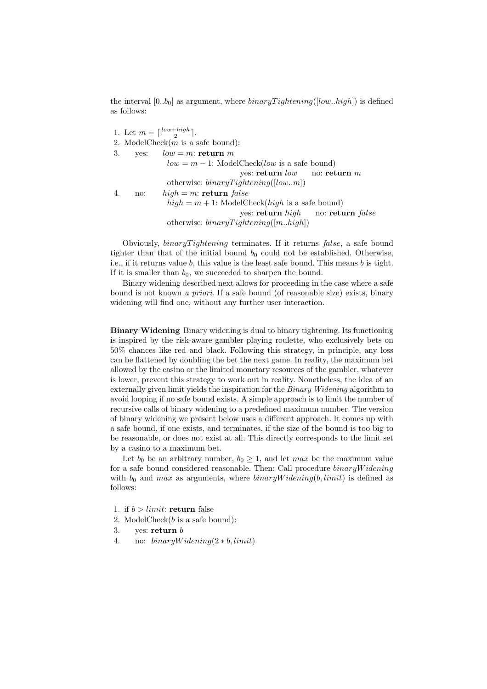the interval  $[0..b_0]$  as argument, where  $binaryTightening([low..high])$  is defined as follows:

1. Let  $m = \lceil \frac{low+high}{2} \rceil$ . 2. ModelCheck $(m \text{ is a safe bound})$ : 3. ves:  $low = m$ : return m  $low = m - 1$ : ModelCheck(*low* is a safe bound) yes: return low no: return m otherwise:  $binaryTightening([low..m])$ 4. no:  $hiah = m$ : return false  $high = m + 1$ : ModelCheck(*high* is a safe bound) yes: return high no: return false otherwise:  $binaryT *identity*  $(m..high)$$ 

Obviously,  $binaryT *identity* terminates. If it returns false, a safe bound$ tighter than that of the initial bound  $b_0$  could not be established. Otherwise, i.e., if it returns value  $b$ , this value is the least safe bound. This means  $b$  is tight. If it is smaller than  $b_0$ , we succeeded to sharpen the bound.

Binary widening described next allows for proceeding in the case where a safe bound is not known a priori. If a safe bound (of reasonable size) exists, binary widening will find one, without any further user interaction.

Binary Widening Binary widening is dual to binary tightening. Its functioning is inspired by the risk-aware gambler playing roulette, who exclusively bets on 50% chances like red and black. Following this strategy, in principle, any loss can be flattened by doubling the bet the next game. In reality, the maximum bet allowed by the casino or the limited monetary resources of the gambler, whatever is lower, prevent this strategy to work out in reality. Nonetheless, the idea of an externally given limit yields the inspiration for the *Binary Widening* algorithm to avoid looping if no safe bound exists. A simple approach is to limit the number of recursive calls of binary widening to a predefined maximum number. The version of binary widening we present below uses a different approach. It comes up with a safe bound, if one exists, and terminates, if the size of the bound is too big to be reasonable, or does not exist at all. This directly corresponds to the limit set by a casino to a maximum bet.

Let  $b_0$  be an arbitrary number,  $b_0 \geq 1$ , and let max be the maximum value for a safe bound considered reasonable. Then: Call procedure binaryW idening with  $b_0$  and max as arguments, where  $binaryWidening(b, limit)$  is defined as follows:

- 1. if  $b > limit$ : return false
- 2. ModelCheck $(b \text{ is a safe bound})$ :
- 3. yes: return  $b$
- 4. no:  $binary Widening(2 * b, limit)$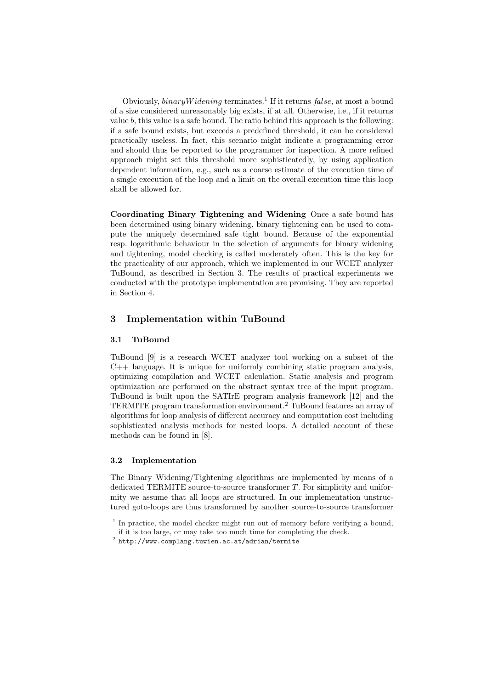Obviously, *binaryWidening* terminates.<sup>1</sup> If it returns  $false$ , at most a bound of a size considered unreasonably big exists, if at all. Otherwise, i.e., if it returns value  $b$ , this value is a safe bound. The ratio behind this approach is the following: if a safe bound exists, but exceeds a predefined threshold, it can be considered practically useless. In fact, this scenario might indicate a programming error and should thus be reported to the programmer for inspection. A more refined approach might set this threshold more sophisticatedly, by using application dependent information, e.g., such as a coarse estimate of the execution time of a single execution of the loop and a limit on the overall execution time this loop shall be allowed for.

Coordinating Binary Tightening and Widening Once a safe bound has been determined using binary widening, binary tightening can be used to compute the uniquely determined safe tight bound. Because of the exponential resp. logarithmic behaviour in the selection of arguments for binary widening and tightening, model checking is called moderately often. This is the key for the practicality of our approach, which we implemented in our WCET analyzer TuBound, as described in Section 3. The results of practical experiments we conducted with the prototype implementation are promising. They are reported in Section 4.

### 3 Implementation within TuBound

#### 3.1 TuBound

TuBound [9] is a research WCET analyzer tool working on a subset of the  $C++$  language. It is unique for uniformly combining static program analysis, optimizing compilation and WCET calculation. Static analysis and program optimization are performed on the abstract syntax tree of the input program. TuBound is built upon the SATIrE program analysis framework [12] and the TERMITE program transformation environment.<sup>2</sup> TuBound features an array of algorithms for loop analysis of different accuracy and computation cost including sophisticated analysis methods for nested loops. A detailed account of these methods can be found in [8].

#### 3.2 Implementation

The Binary Widening/Tightening algorithms are implemented by means of a dedicated TERMITE source-to-source transformer  $T$ . For simplicity and uniformity we assume that all loops are structured. In our implementation unstructured goto-loops are thus transformed by another source-to-source transformer

<sup>&</sup>lt;sup>1</sup> In practice, the model checker might run out of memory before verifying a bound,

if it is too large, or may take too much time for completing the check.

 $^2$  http://www.complang.tuwien.ac.at/adrian/termite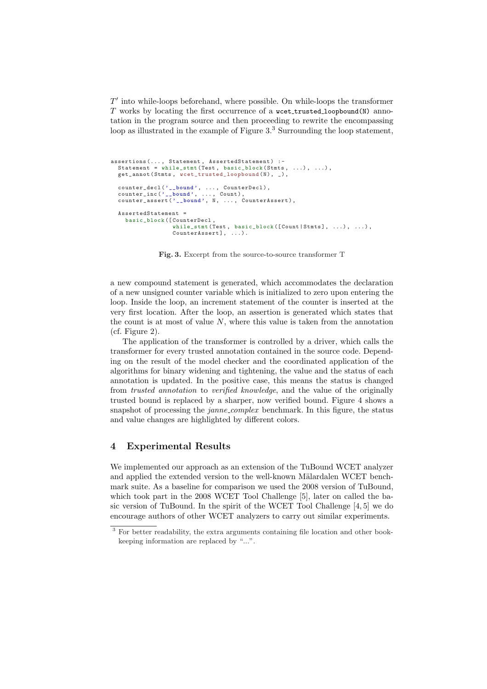$T'$  into while-loops beforehand, where possible. On while-loops the transformer  $T$  works by locating the first occurrence of a weet trusted loopbound(N) annotation in the program source and then proceeding to rewrite the encompassing loop as illustrated in the example of Figure 3.<sup>3</sup> Surrounding the loop statement,

```
assertions (..., Statement, AssertedStatement) :-
  Statement = while_stmt (Test, basic_block (Stmts, ...), ...),
  get_annot (Stmts, wcet_trusted_loopbound (N), _),
  counter_decl ('__bound', ..., CounterDecl),
  counter_inc('__bound', ..., Count),<br>counter_assert('__bound', N, ..., CounterAssert),
  AssertedStatement =
    basic_block ([ CounterDecl ,
                   while_stmt (Test, basic_block ([Count | Stmts], ...), ...),
                   CounterAssert], ...).
```
Fig. 3. Excerpt from the source-to-source transformer T

a new compound statement is generated, which accommodates the declaration of a new unsigned counter variable which is initialized to zero upon entering the loop. Inside the loop, an increment statement of the counter is inserted at the very first location. After the loop, an assertion is generated which states that the count is at most of value  $N$ , where this value is taken from the annotation (cf. Figure 2).

The application of the transformer is controlled by a driver, which calls the transformer for every trusted annotation contained in the source code. Depending on the result of the model checker and the coordinated application of the algorithms for binary widening and tightening, the value and the status of each annotation is updated. In the positive case, this means the status is changed from trusted annotation to verified knowledge, and the value of the originally trusted bound is replaced by a sharper, now verified bound. Figure 4 shows a snapshot of processing the *janne\_complex* benchmark. In this figure, the status and value changes are highlighted by different colors.

## 4 Experimental Results

We implemented our approach as an extension of the TuBound WCET analyzer and applied the extended version to the well-known Mälardalen WCET benchmark suite. As a baseline for comparison we used the 2008 version of TuBound, which took part in the 2008 WCET Tool Challenge [5], later on called the basic version of TuBound. In the spirit of the WCET Tool Challenge [4, 5] we do encourage authors of other WCET analyzers to carry out similar experiments.

<sup>&</sup>lt;sup>3</sup> For better readability, the extra arguments containing file location and other bookkeeping information are replaced by "...".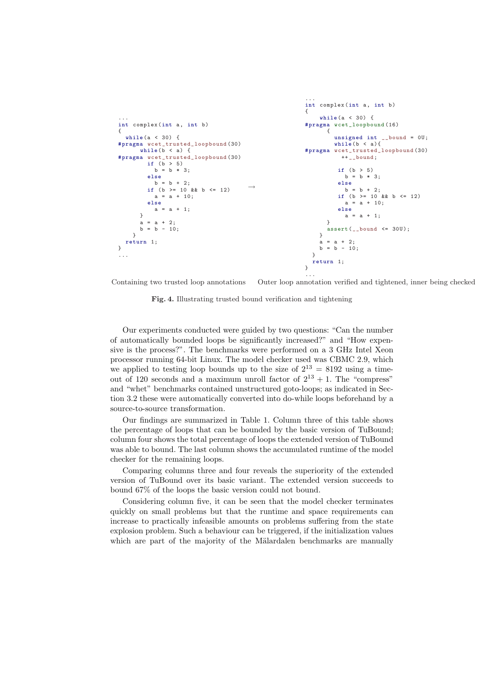

Containing two trusted loop annotations Outer loop annotation verified and tightened, inner being checked

Fig. 4. Illustrating trusted bound verification and tightening

Our experiments conducted were guided by two questions: "Can the number of automatically bounded loops be significantly increased?" and "How expensive is the process?". The benchmarks were performed on a 3 GHz Intel Xeon processor running 64-bit Linux. The model checker used was CBMC 2.9, which we applied to testing loop bounds up to the size of  $2^{13} = 8192$  using a timeout of 120 seconds and a maximum unroll factor of  $2^{13} + 1$ . The "compress" and "whet" benchmarks contained unstructured goto-loops; as indicated in Section 3.2 these were automatically converted into do-while loops beforehand by a source-to-source transformation.

Our findings are summarized in Table 1. Column three of this table shows the percentage of loops that can be bounded by the basic version of TuBound; column four shows the total percentage of loops the extended version of TuBound was able to bound. The last column shows the accumulated runtime of the model checker for the remaining loops.

Comparing columns three and four reveals the superiority of the extended version of TuBound over its basic variant. The extended version succeeds to bound 67% of the loops the basic version could not bound.

Considering column five, it can be seen that the model checker terminates quickly on small problems but that the runtime and space requirements can increase to practically infeasible amounts on problems suffering from the state explosion problem. Such a behaviour can be triggered, if the initialization values which are part of the majority of the Mälardalen benchmarks are manually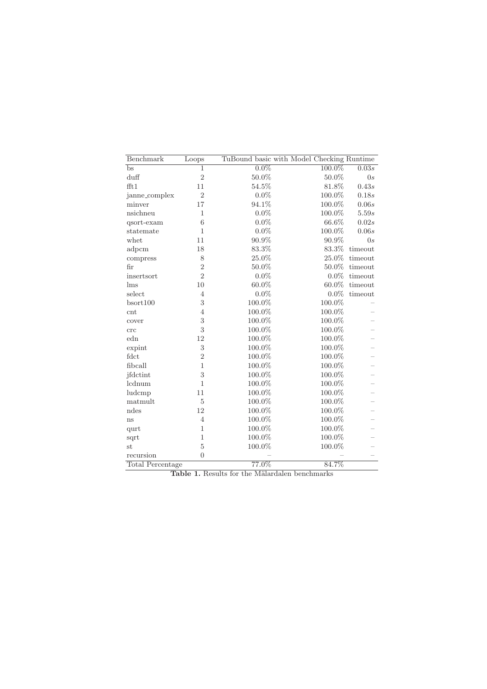| Benchmark                   | Loops            | TuBound basic with Model Checking Runtime |           |         |
|-----------------------------|------------------|-------------------------------------------|-----------|---------|
| bs                          | 1                | $0.0\%$                                   | 100.0%    | 0.03s   |
| $\mathrm{duff}$             | $\overline{2}$   | 50.0%                                     | 50.0%     | 0s      |
| fft1                        | 11               | 54.5%                                     | 81.8%     | 0.43s   |
| janne_complex               | $\overline{2}$   | $0.0\%$                                   | 100.0%    | 0.18s   |
| minver                      | 17               | 94.1%                                     | 100.0%    | 0.06s   |
| nsichneu                    | 1                | $0.0\%$                                   | 100.0%    | 5.59s   |
| qsort-exam                  | 6                | $0.0\%$                                   | 66.6%     | 0.02s   |
| statemate                   | 1                | $0.0\%$                                   | 100.0%    | 0.06s   |
| whet                        | 11               | 90.9%                                     | $90.9\%$  | 0s      |
| adpcm                       | 18               | 83.3%                                     | 83.3%     | timeout |
| compress                    | 8                | $25.0\%$                                  | 25.0%     | timeout |
| fir                         | $\overline{2}$   | 50.0%                                     | 50.0%     | timeout |
| insertsort                  | $\overline{2}$   | $0.0\%$                                   | $0.0\%$   | timeout |
| $\mathop{\rm lms}\nolimits$ | 10               | 60.0%                                     | $60.0\%$  | timeout |
| select                      | $\overline{4}$   | $0.0\%$                                   | $0.0\%$   | timeout |
| bsort100                    | 3                | 100.0%                                    | 100.0%    |         |
| cnt                         | $\overline{4}$   | 100.0%                                    | 100.0%    |         |
| cover                       | 3                | 100.0%                                    | 100.0%    |         |
| crc                         | $\boldsymbol{3}$ | 100.0%                                    | 100.0%    |         |
| edn                         | 12               | 100.0%                                    | 100.0%    |         |
| expint                      | 3                | 100.0%                                    | 100.0%    |         |
| fdct                        | $\overline{2}$   | 100.0%                                    | 100.0%    |         |
| fibcall                     | $\mathbf{1}$     | 100.0%                                    | 100.0%    |         |
| jfdctint                    | 3                | 100.0%                                    | 100.0%    |         |
| lcdnum                      | $\mathbf{1}$     | 100.0%                                    | 100.0%    |         |
| ludcmp                      | 11               | 100.0%                                    | 100.0%    |         |
| matmult                     | 5                | 100.0%                                    | 100.0%    |         |
| ndes                        | 12               | 100.0%                                    | $100.0\%$ |         |
| ns                          | $\overline{4}$   | 100.0%                                    | 100.0%    |         |
| qurt                        | $\mathbf{1}$     | 100.0%                                    | 100.0%    |         |
| sqrt                        | 1                | 100.0%                                    | 100.0%    |         |
| st                          | $\overline{5}$   | 100.0%                                    | $100.0\%$ |         |
| recursion                   | $\overline{0}$   |                                           |           |         |
| Total Percentage            |                  | 77.0%                                     | 84.7%     |         |

Table 1. Results for the Mälardalen benchmarks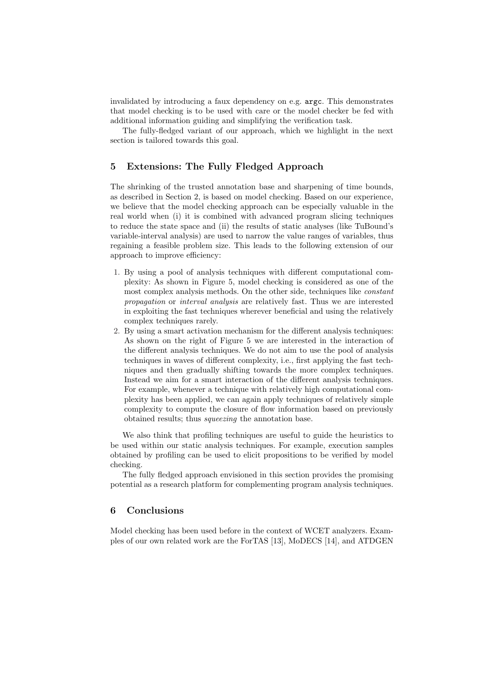invalidated by introducing a faux dependency on e.g. argc. This demonstrates that model checking is to be used with care or the model checker be fed with additional information guiding and simplifying the verification task.

The fully-fledged variant of our approach, which we highlight in the next section is tailored towards this goal.

## 5 Extensions: The Fully Fledged Approach

The shrinking of the trusted annotation base and sharpening of time bounds, as described in Section 2, is based on model checking. Based on our experience, we believe that the model checking approach can be especially valuable in the real world when (i) it is combined with advanced program slicing techniques to reduce the state space and (ii) the results of static analyses (like TuBound's variable-interval analysis) are used to narrow the value ranges of variables, thus regaining a feasible problem size. This leads to the following extension of our approach to improve efficiency:

- 1. By using a pool of analysis techniques with different computational complexity: As shown in Figure 5, model checking is considered as one of the most complex analysis methods. On the other side, techniques like constant propagation or interval analysis are relatively fast. Thus we are interested in exploiting the fast techniques wherever beneficial and using the relatively complex techniques rarely.
- 2. By using a smart activation mechanism for the different analysis techniques: As shown on the right of Figure 5 we are interested in the interaction of the different analysis techniques. We do not aim to use the pool of analysis techniques in waves of different complexity, i.e., first applying the fast techniques and then gradually shifting towards the more complex techniques. Instead we aim for a smart interaction of the different analysis techniques. For example, whenever a technique with relatively high computational complexity has been applied, we can again apply techniques of relatively simple complexity to compute the closure of flow information based on previously obtained results; thus squeezing the annotation base.

We also think that profiling techniques are useful to guide the heuristics to be used within our static analysis techniques. For example, execution samples obtained by profiling can be used to elicit propositions to be verified by model checking.

The fully fledged approach envisioned in this section provides the promising potential as a research platform for complementing program analysis techniques.

## 6 Conclusions

Model checking has been used before in the context of WCET analyzers. Examples of our own related work are the ForTAS [13], MoDECS [14], and ATDGEN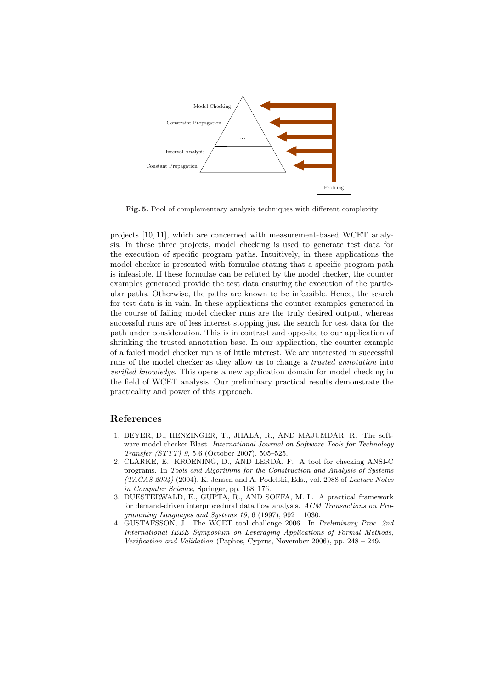

Fig. 5. Pool of complementary analysis techniques with different complexity

projects [10, 11], which are concerned with measurement-based WCET analysis. In these three projects, model checking is used to generate test data for the execution of specific program paths. Intuitively, in these applications the model checker is presented with formulae stating that a specific program path is infeasible. If these formulae can be refuted by the model checker, the counter examples generated provide the test data ensuring the execution of the particular paths. Otherwise, the paths are known to be infeasible. Hence, the search for test data is in vain. In these applications the counter examples generated in the course of failing model checker runs are the truly desired output, whereas successful runs are of less interest stopping just the search for test data for the path under consideration. This is in contrast and opposite to our application of shrinking the trusted annotation base. In our application, the counter example of a failed model checker run is of little interest. We are interested in successful runs of the model checker as they allow us to change a trusted annotation into verified knowledge. This opens a new application domain for model checking in the field of WCET analysis. Our preliminary practical results demonstrate the practicality and power of this approach.

#### References

- 1. BEYER, D., HENZINGER, T., JHALA, R., AND MAJUMDAR, R. The software model checker Blast. International Journal on Software Tools for Technology Transfer (STTT) 9, 5-6 (October 2007), 505–525.
- 2. CLARKE, E., KROENING, D., AND LERDA, F. A tool for checking ANSI-C programs. In Tools and Algorithms for the Construction and Analysis of Systems (TACAS 2004) (2004), K. Jensen and A. Podelski, Eds., vol. 2988 of Lecture Notes in Computer Science, Springer, pp. 168–176.
- 3. DUESTERWALD, E., GUPTA, R., AND SOFFA, M. L. A practical framework for demand-driven interprocedural data flow analysis. ACM Transactions on Programming Languages and Systems 19, 6 (1997), 992 – 1030.
- 4. GUSTAFSSON, J. The WCET tool challenge 2006. In Preliminary Proc. 2nd International IEEE Symposium on Leveraging Applications of Formal Methods, Verification and Validation (Paphos, Cyprus, November 2006), pp. 248 – 249.